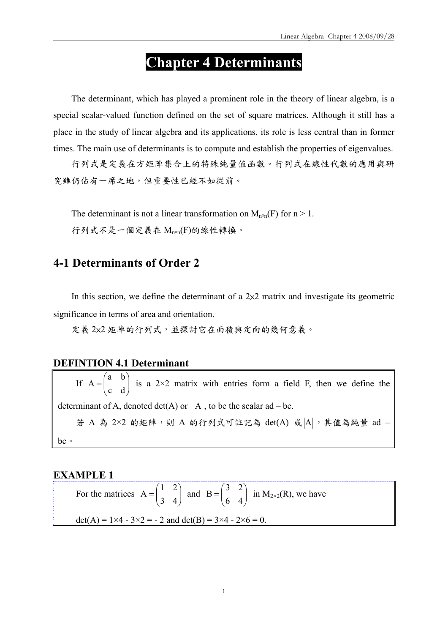# **Chapter 4 Determinants**

The determinant, which has played a prominent role in the theory of linear algebra, is a special scalar-valued function defined on the set of square matrices. Although it still has a place in the study of linear algebra and its applications, its role is less central than in former times. The main use of determinants is to compute and establish the properties of eigenvalues.

行列式是定義在方矩陣集合上的特殊純量值函數。行列式在線性代數的應用與研 究雖仍佔有一席之地,但重要性已經不如從前。

The determinant is not a linear transformation on  $M_{n \times n}(F)$  for  $n > 1$ . 行列式不是一個定義在 Mn×n(F)的線性轉換。

### **4-1 Determinants of Order 2**

In this section, we define the determinant of a  $2\times 2$  matrix and investigate its geometric significance in terms of area and orientation.

定義 2x2 矩陣的行列式,並探討它在面積與定向的幾何意義。

#### **DEFINTION 4.1 Determinant**

If  $A = \begin{bmatrix} a & b \\ c & d \end{bmatrix}$ ⎠ ⎞  $\overline{\phantom{a}}$  $=\begin{pmatrix} a & b \\ c & d \end{pmatrix}$  $A = \begin{bmatrix} 1 \end{bmatrix}$  is a 2×2 matrix with entries form a field F, then we define the determinant of A, denoted det(A) or  $|A|$ , to be the scalar ad – bc. 若 A 為 2×2 的矩陣,則 A 的行列式可註記為 det(A) 或 $|A|$ , 其值為純量 ad bc。

#### **EXAMPLE 1**

For the matrices  $A = \begin{bmatrix} 1 & 2 \\ 3 & 4 \end{bmatrix}$ ⎠ ⎞  $\overline{\phantom{a}}$  $=\begin{pmatrix} 1 & 2 \\ 3 & 4 \end{pmatrix}$  $A = \begin{pmatrix} 1 & 2 \\ 3 & 4 \end{pmatrix}$  and  $B = \begin{pmatrix} 5 & 2 \\ 6 & 4 \end{pmatrix}$ ⎠ ⎞  $\overline{\phantom{a}}$  $=\begin{pmatrix} 3 & 2 \\ 6 & 4 \end{pmatrix}$  $B = \begin{bmatrix} 2 & 1 \end{bmatrix}$  in  $M_{2\times2}(R)$ , we have det(A) =  $1 \times 4 - 3 \times 2 = -2$  and det(B) =  $3 \times 4 - 2 \times 6 = 0$ .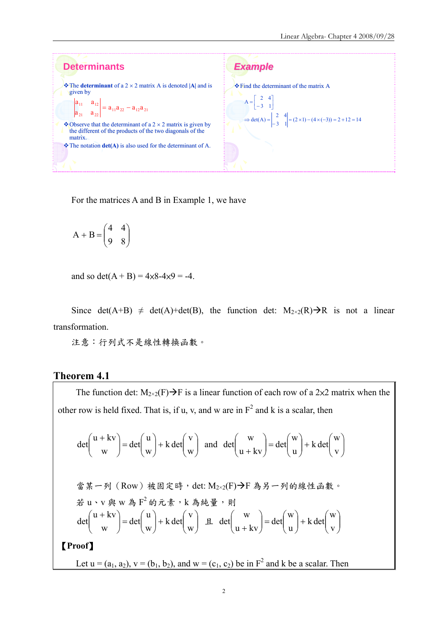

For the matrices A and B in Example 1, we have

 $\overline{\phantom{a}}$ ⎠ ⎞  $\parallel$ ⎝  $+ B = \begin{pmatrix} 4 & 4 \\ 9 & 8 \end{pmatrix}$ 4 4  $A + B = \begin{vmatrix} 1 & 1 \\ 0 & 0 \end{vmatrix}$ 

and so det( $A + B$ ) =  $4 \times 8 - 4 \times 9 = -4$ .

Since det(A+B)  $\neq$  det(A)+det(B), the function det:  $M_{2\times2}(R) \rightarrow R$  is not a linear transformation.

注意:行列式不是線性轉換函數。

#### **Theorem 4.1**

The function det:  $M_{2\times2}(F) \rightarrow F$  is a linear function of each row of a 2×2 matrix when the other row is held fixed. That is, if u, v, and w are in  $F^2$  and k is a scalar, then

$$
\det\begin{pmatrix} u+kv \\ w \end{pmatrix} = \det\begin{pmatrix} u \\ w \end{pmatrix} + k \det\begin{pmatrix} v \\ w \end{pmatrix} \text{ and } \det\begin{pmatrix} w \\ u+kv \end{pmatrix} = \det\begin{pmatrix} w \\ u \end{pmatrix} + k \det\begin{pmatrix} w \\ v \end{pmatrix}
$$
  
\n
$$
\stackrel{\text{d}}{\leq} \stackrel{\text{d}}{\leq} \stackrel{\text{d}}{\leq} \stackrel{\text{d}}{\leq} \stackrel{\text{d}}{\leq} \stackrel{\text{d}}{\leq} \stackrel{\text{d}}{\leq} \stackrel{\text{d}}{\leq} \stackrel{\text{d}}{\leq} \stackrel{\text{d}}{\leq} \stackrel{\text{d}}{\leq} \stackrel{\text{d}}{\leq} \stackrel{\text{d}}{\leq} \stackrel{\text{d}}{\leq} \stackrel{\text{d}}{\leq} \stackrel{\text{d}}{\leq} \stackrel{\text{d}}{\leq} \stackrel{\text{d}}{\leq} \stackrel{\text{d}}{\leq} \stackrel{\text{d}}{\leq} \stackrel{\text{d}}{\leq} \stackrel{\text{d}}{\leq} \stackrel{\text{d}}{\leq} \stackrel{\text{d}}{\leq} \stackrel{\text{d}}{\leq} \stackrel{\text{d}}{\leq} \stackrel{\text{d}}{\leq} \stackrel{\text{d}}{\leq} \stackrel{\text{d}}{\leq} \stackrel{\text{d}}{\leq} \stackrel{\text{d}}{\leq} \stackrel{\text{d}}{\leq} \stackrel{\text{d}}{\leq} \stackrel{\text{d}}{\leq} \stackrel{\text{d}}{\leq} \stackrel{\text{d}}{\leq} \stackrel{\text{d}}{\leq} \stackrel{\text{d}}{\leq} \stackrel{\text{d}}{\leq} \stackrel{\text{d}}{\leq} \stackrel{\text{d}}{\leq} \stackrel{\text{d}}{\leq} \stackrel{\text{d}}{\leq} \stackrel{\text{d}}{\leq} \stackrel{\text{d}}{\leq} \stackrel{\text{d}}{\leq} \stackrel{\text{d}}{\leq} \stackrel{\text{d}}{\leq} \stackrel{\text{d}}{\leq} \stackrel{\text{d}}{\leq} \stackrel{\text{d}}{\leq} \stackrel{\text{d}}{\leq} \stackrel{\text{d}}{\
$$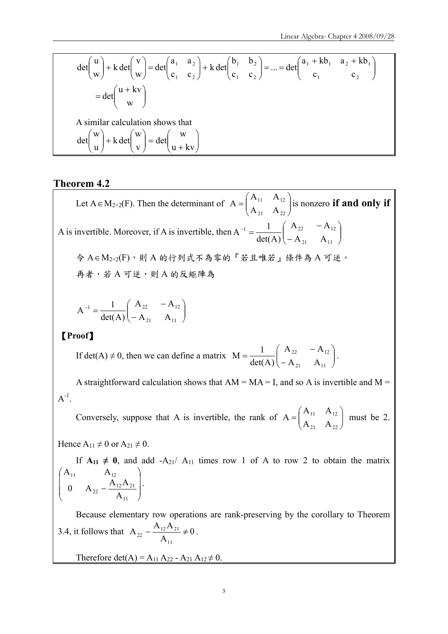$$
\det\begin{pmatrix} u \\ w \end{pmatrix} + k \det\begin{pmatrix} v \\ w \end{pmatrix} = \det\begin{pmatrix} a_1 & a_2 \\ c_1 & c_2 \end{pmatrix} + k \det\begin{pmatrix} b_1 & b_2 \\ c_1 & c_2 \end{pmatrix} = \dots = \det\begin{pmatrix} a_1 + kb_1 & a_2 + kb_1 \\ c_1 & c_2 \end{pmatrix}
$$
  
\n
$$
= \det\begin{pmatrix} u + kv \\ w \end{pmatrix}
$$
  
\nA similar calculation shows that  
\n
$$
\det\begin{pmatrix} w \\ u \end{pmatrix} + k \det\begin{pmatrix} w \\ v \end{pmatrix} = \det\begin{pmatrix} w \\ u + kv \end{pmatrix}
$$

#### **Theorem 4.2**

Let A  $\in M_{2\times2}(F)$ . Then the determinant of  $A = \begin{bmatrix} 1 & 1 & 1 \\ 1 & 1 & 1 \\ 0 & 0 & 1 \end{bmatrix}$ ⎠  $\mathcal{L}$  $\parallel$ ⎝  $=\bigg($ 21  $\lambda$  22  $11 \quad 12$  $A_{21}$  A  $A = \begin{pmatrix} A_{11} & A_{12} \end{pmatrix}$  is nonzero **if and only if** A is invertible. Moreover, if A is invertible, then  $A^{-1} = \frac{1}{\det(A)} \begin{bmatrix} 1 & 1 & 2 \\ 0 & A \end{bmatrix}$ ⎠ ⎞  $\overline{\phantom{a}}$ ⎝  $\big($ −  $^{-1} = \frac{1}{1-(1-\lambda)} \begin{pmatrix} A_{22} & -1 \ 0 & -1 \end{pmatrix}$ 21  $\mathbf{r}_{11}$  $1 \quad 1 \quad 1^{22} \quad - \mathbf{A}_{12}$  $A_{21}$  A  $A_{22}$  - A  $det(A)$  $A^{-1} = \frac{1}{1}$ 令 A∈M2×2(F),則 A 的行列式不為零的『若且唯若』條件為 A 可逆。 再者,若 A 可逆,則 A 的反矩陣為  $\overline{\phantom{a}}$ ⎠ ⎞  $\overline{\phantom{a}}$ ⎝  $\big($ −  $^{-1} = \frac{1}{1-(1-x)^2} \begin{pmatrix} A_{22} & -1 \end{pmatrix}$ 21  $1 \overline{11}$  $1$   $1$   $1$   $1$   $22$   $1$   $12$  $A_{21}$  A  $A_{22}$  - A det(A)  $A^{-1} = \frac{1}{1 + \frac{1}{2}}$ 

#### 【**Proof**】

If det(A)  $\neq$  0, then we can define a matrix  $M = \frac{1}{\det(A)} \begin{bmatrix} 1 & 1 & 2 \\ -A & A \end{bmatrix}$ ⎠ ⎞  $\vert$ ⎝  $\big($ −  $=\frac{1}{1-\epsilon} \begin{pmatrix} A_{22} & -A_{23} \end{pmatrix}$ 21  $\lambda$ 11 22  $\frac{1}{2}$   $\frac{1}{2}$  $A_{21}$  A  $A_{22}$  – A det(A)  $M = \frac{1}{1 + (1 + \lambda)^2} \begin{pmatrix} A_{22} & -A_{12} \ A_{12} & A_{22} & A_{22} \end{pmatrix}$ .

A straightforward calculation shows that  $AM = MA = I$ , and so A is invertible and  $M =$  $A^{-1}$ .

Conversely, suppose that A is invertible, the rank of  $A = \begin{bmatrix} 1 & 1 & 1 & 1 \\ 1 & 1 & 1 & 1 \\ 0 & 0 & 1 & 1 \end{bmatrix}$ ⎠ ⎞  $\vert$ ⎝  $=\bigg($ 21  $\Lambda_{22}$  $11 \quad \Lambda_{12}$  $A_{21}$  A  $A_{11}$  A  $A = \begin{bmatrix} 1 & 1 & 1 \\ 1 & 1 & 1 \end{bmatrix}$  must be 2.

Hence  $A_{11} \neq 0$  or  $A_{21} \neq 0$ .

If  $A_{11} \neq 0$ , and add  $-A_{21}/A_{11}$  times row 1 of A to row 2 to obtain the matrix  $\overline{\phantom{a}}$  $\overline{\phantom{a}}$ ⎠ ⎞  $\overline{\phantom{a}}$  $\mathsf{L}$ ⎝  $\big($ − 11  $12^{21}$   $21$ 22 11  $\mathbf{r}_{12}$ A 0  $A_{22} - \frac{A_{12}A}{A_{12}}$  $A_{11}$   $A$ .

Because elementary row operations are rank-preserving by the corollary to Theorem 3.4, it follows that  $A_{22} - \frac{A_{12}A_{21}}{1} \neq 0$ A  $A_{22} - \frac{A_{12}A}{4}$ 11  $t_{22} - \frac{A_{12}A_{21}}{\Lambda} \neq 0$ .

Therefore det(A) =  $A_{11} A_{22} - A_{21} A_{12} \neq 0$ .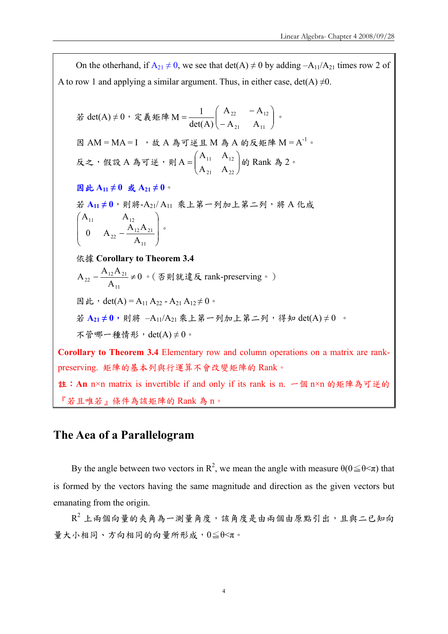On the otherhand, if  $A_{21} \neq 0$ , we see that  $det(A) \neq 0$  by adding  $-A_{11}/A_{21}$  times row 2 of A to row 1 and applying a similar argument. Thus, in either case, det(A)  $\neq$ 0.

$$
≭ det(A) ≠ 0, \n${k, k = M = \frac{1}{det(A)} \begin{pmatrix} A_{22} & -A_{12} \\ -A_{21} & A_{11} \end{pmatrix},
$$
\n
$$
B = AM = MA = I \quad , \n$k, A & A = \frac{1}{2} \begin{pmatrix} A_{22} & -A_{12} \\ -A_{21} & A_{11} \end{pmatrix},
$$
\n
$$
R = \begin{pmatrix} A_{11} & A_{12} \\ A_{21} & A_{22} \end{pmatrix} \Rightarrow B = \begin{pmatrix} A_{11} & A_{12} \\ A_{21} & A_{22} \end{pmatrix} \Rightarrow B = \begin{pmatrix} A_{11} & A_{12} \\ A_{21} & A_{22} \end{pmatrix} \Rightarrow B = \begin{pmatrix} A_{11} & A_{12} \\ B = A_{11} & A_{12} \end{pmatrix} \Rightarrow B = \begin{pmatrix} A_{11} & A_{12} \\ A_{11} & A_{12} \end{pmatrix} \Rightarrow A = \begin{pmatrix} A_{11} & A_{12} \\ 0 & A_{22} - \frac{A_{12}A_{21}}{A_{11}} \end{pmatrix} \Rightarrow B = \begin{pmatrix} A_{12} & A_{12} \\ A_{11} & A_{12} \end{pmatrix} \Rightarrow B = \begin{pmatrix} A_{12} & A_{12} \\ A_{11} & A_{12} \end{pmatrix} \Rightarrow B = \begin{pmatrix} A_{12} & A_{12} \\ A_{11} & A_{12} \end{pmatrix} \Rightarrow B = \begin{pmatrix} A_{12} & A_{12} \\ A_{11} & A_{12} \end{pmatrix} \Rightarrow B = \begin{pmatrix} A_{12} & A_{12} \\ A_{11} & A_{12} \end{pmatrix} \Rightarrow B = \begin{pmatrix} A_{12} & A_{12} \\ A_{11} & A_{12} \end{pmatrix} \Rightarrow B = \begin{pmatrix} A_{12} & A_{12} \\ A_{11} & A_{12} \end{pmatrix} \Rightarrow B = \begin{pmatrix} A_{12} & A_{12} \\ A
$$

註:**An** n×n matrix is invertible if and only if its rank is n. 一個 n×n 的矩陣為可逆的 『若且唯若』條件為該矩陣的 Rank 為 n。

# **The Aea of a Parallelogram**

By the angle between two vectors in  $\mathbb{R}^2$ , we mean the angle with measure  $\theta(0 \le \theta \le \pi)$  that is formed by the vectors having the same magnitude and direction as the given vectors but emanating from the origin.

 $R^2$ 上兩個向量的夾角為一測量角度,該角度是由兩個由原點引出,且與二已知向 量大小相同、方向相同的向量所形成,0≦θ<π。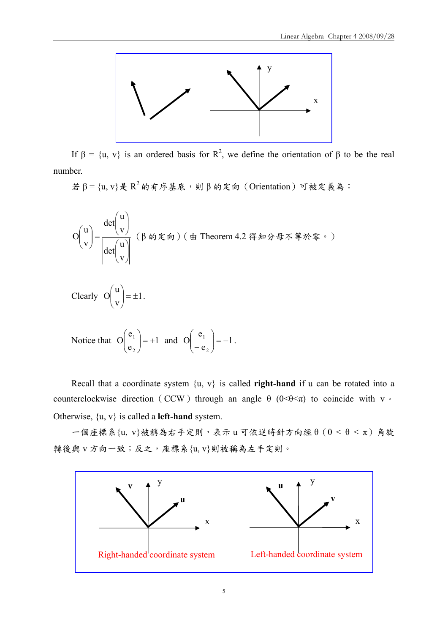

If  $\beta = \{u, v\}$  is an ordered basis for R<sup>2</sup>, we define the orientation of β to be the real number.

 $\sharp$  β = {u, v}是  $R^2$  的有序基底,則 β 的定向(Orientation)可被定義為:

⎟ ⎟ ⎠ ⎞ ⎜ ⎜ ⎝ ⎛ ⎟ ⎟ ⎠ ⎞ ⎜ ⎜ ⎝ ⎛ =⎟ ⎟ ⎠ ⎞ ⎜ ⎜ ⎝ ⎛ v u det v u det v u O (β 的定向)(由 Theorem 4.2 得知分母不等於零。) Clearly 1 v u O = ± ⎟ ⎟ ⎠ ⎞ ⎜ ⎜ ⎝ <sup>⎛</sup> .

Notice that 
$$
O\begin{pmatrix} e_1 \\ e_2 \end{pmatrix} = +1
$$
 and  $O\begin{pmatrix} e_1 \\ -e_2 \end{pmatrix} = -1$ .

Recall that a coordinate system  $\{u, v\}$  is called **right-hand** if u can be rotated into a counterclockwise direction (CCW) through an angle  $\theta$  (0< $\theta$  < $\pi$ ) to coincide with v  $\circ$ Otherwise, {u, v} is called a **left-hand** system.

一個座標系{u, v}被稱為右手定則,表示 u 可依逆時針方向經 θ(0 < θ < π)角旋 轉後與 v 方向一致;反之, 座標系{u, v}則被稱為左手定則。

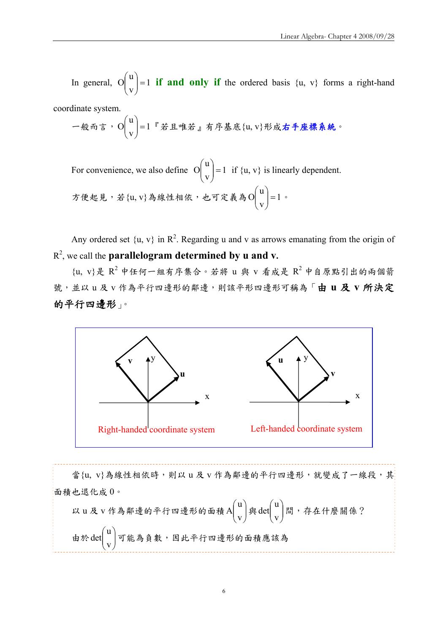In general,  $\begin{bmatrix} 0 \\ 1 \end{bmatrix} = 1$ v u  $\left| \frac{1}{V} \right| =$ ⎠ ⎞  $\overline{\phantom{a}}$ ⎝  $\begin{pmatrix} u \\ h \end{pmatrix} = 1$  if and only if the ordered basis  $\{u, v\}$  forms a right-hand

coordinate system.

一殺而言,O
$$
\begin{pmatrix} u \\ v \end{pmatrix} = 1^{\text{T}}
$$
若且 ্ \�帝基成{u, v}形成**方座bin) 絵**条·

For convenience, we also define  $|O| = 1$ v u  $\left| \frac{a}{v} \right| =$ ⎠ ⎞  $\overline{\phantom{a}}$ ⎝  $\begin{pmatrix} u \\ -1 \end{pmatrix} = 1$  if  $\{u, v\}$  is linearly dependent. 方便起見,若{u, v}為線性相依,也可定義為 O | | = 1 v u  $\left| \frac{a}{v} \right| =$ ⎠  $\setminus$  $\vert$ ⎝  $\begin{pmatrix} u \\ v \end{pmatrix} = 1$ 

Any ordered set  $\{u, v\}$  in  $\mathbb{R}^2$ . Regarding u and v as arrows emanating from the origin of R2 , we call the **parallelogram determined by u and v.**

 $\{u, v\}$ 是  $R^2$  中任何一組有序集合。若將  $u$  與  $v$  看成是  $R^2$  中自原點引出的兩個箭 號,並以 u 及 v 作為平行四邊形的鄰邊,則該平形四邊形可稱為「由 u 及 v 所決定 的平行四邊形」。



當{u, v}為線性相依時,則以 u 及 v 作為鄰邊的平行四邊形,就變成了一線段,其 面積也退化成 0。 以 u 及 v 作為鄰邊的平行四邊形的面積 A  $\begin{bmatrix} \begin{array}{c} \begin{array}{c} \mathbf{a} \end{array} \end{bmatrix}$ ⎠ ⎞  $\overline{\phantom{a}}$ ⎝  $\big($ v u  $\begin{bmatrix} \Delta \\ V \end{bmatrix}$   $\mathscr{B}$  det  $\begin{bmatrix} \alpha \\ V \end{bmatrix}$ ⎠ ⎞  $\parallel$ ⎝  $\big($ v u det | 間, 存在什麼關係? 由於  $det\begin{bmatrix} u \\ v \end{bmatrix}$ ⎠ ⎞  $\parallel$ ⎝  $\sqrt{}$ v u det| ヿ可能為負數,因此平行四邊形的面積應該為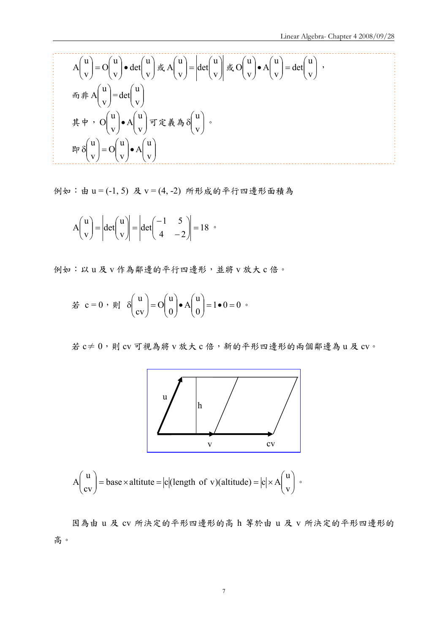$$
A\begin{pmatrix} u \\ v \end{pmatrix} = O\begin{pmatrix} u \\ v \end{pmatrix} \bullet \det\begin{pmatrix} u \\ v \end{pmatrix} \not\exists x A\begin{pmatrix} u \\ v \end{pmatrix} = \left| \det\begin{pmatrix} u \\ v \end{pmatrix} \right| \not\exists x O\begin{pmatrix} u \\ v \end{pmatrix} \bullet A\begin{pmatrix} u \\ v \end{pmatrix} = \det\begin{pmatrix} u \\ v \end{pmatrix},
$$
  
\n
$$
\vec{n} \neq A\begin{pmatrix} u \\ v \end{pmatrix} = \det\begin{pmatrix} u \\ v \end{pmatrix}
$$
  
\n
$$
\vec{r} \neq 0 \Rightarrow O\begin{pmatrix} u \\ v \end{pmatrix} \bullet A\begin{pmatrix} u \\ v \end{pmatrix} \Rightarrow \vec{r} \neq \vec{r} \neq 0 \Rightarrow O\begin{pmatrix} u \\ v \end{pmatrix} \bullet A\begin{pmatrix} u \\ v \end{pmatrix}.
$$

例如:由 u = (-1, 5) 及 v = (4, -2) 所形成的平行四邊形面積為

$$
A\begin{pmatrix} u \\ v \end{pmatrix} = \left| \det \begin{pmatrix} u \\ v \end{pmatrix} \right| = \left| \det \begin{pmatrix} -1 & 5 \\ 4 & -2 \end{pmatrix} \right| = 18 \text{ } \text{°}
$$

例如:以 u 及 v 作為鄰邊的平行四邊形,並將 v 放大 c 倍。

$$
\stackrel{\cdot}{\mathcal{Z}} c = 0 \; , \; \text{and} \; \delta \begin{pmatrix} u \\ cv \end{pmatrix} = O \begin{pmatrix} u \\ 0 \end{pmatrix} \bullet A \begin{pmatrix} u \\ 0 \end{pmatrix} = 1 \bullet 0 = 0 \; .
$$

若 $c \neq 0$ ,則 $c$ v 可視為將 $v$ 放大 $c$  倍, 新的平形四邊形的兩個鄰邊為 $u$ 及 $cv$ 。



$$
A\begin{pmatrix} u \\ cv \end{pmatrix} = base \times altitude = |c| (length of v)(altitude) = |c| \times A\begin{pmatrix} u \\ v \end{pmatrix}.
$$

因為由 u 及 cv 所決定的平形四邊形的高 h 等於由 u 及 v 所決定的平形四邊形的 高。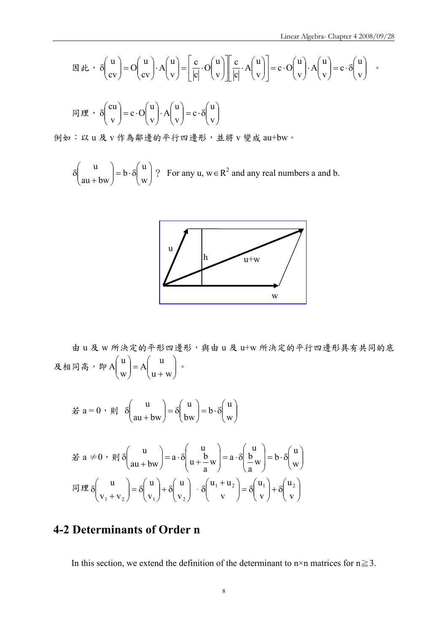$$
\boxtimes \psi \rightarrow \delta \begin{pmatrix} u \\ cv \end{pmatrix} = O \begin{pmatrix} u \\ cv \end{pmatrix} \cdot A \begin{pmatrix} u \\ v \end{pmatrix} = \begin{bmatrix} c \\ |c| \end{bmatrix} \cdot O \begin{pmatrix} u \\ v \end{pmatrix} \cdot \begin{pmatrix} c \\ |c| \end{pmatrix} \cdot A \begin{pmatrix} u \\ v \end{pmatrix} = c \cdot O \begin{pmatrix} u \\ v \end{pmatrix} \cdot A \begin{pmatrix} u \\ v \end{pmatrix} = c \cdot \delta \begin{pmatrix} u \\ v \end{pmatrix} \rightarrow
$$

$$
\boxed{\mathbb{E} \mathbb{E} \cdot \delta \begin{pmatrix} cu \\ v \end{pmatrix} = c \cdot O \begin{pmatrix} u \\ v \end{pmatrix} \cdot A \begin{pmatrix} u \\ v \end{pmatrix} = c \cdot \delta \begin{pmatrix} u \\ v \end{pmatrix}}
$$

例如:以 u 及 v 作為鄰邊的平行四邊形,並將 v 變成 au+bw。

 $\sqrt{ }$ ⎠ ⎞  $\parallel$  $\left( \frac{1}{2} \right) = b \cdot \delta$ ⎠ ⎞  $\overline{\phantom{a}}$ ⎝  $\big($ + δ w u b  $au + bw$  $\begin{bmatrix} u \\ v \end{bmatrix} = b \cdot \delta \begin{bmatrix} u \\ v \end{bmatrix}$ ? For any  $u, w \in \mathbb{R}^2$  and any real numbers a and b.



由 u 及 w 所決定的平形四邊形,與由 u 及 u+w 所決定的平行四邊形具有共同的底 及相同高,即A  $\begin{bmatrix} x \\ y \end{bmatrix} = A \begin{bmatrix} 1 \\ 1 \\ 0 \end{bmatrix}$ ⎠ ⎞  $\parallel$ ⎝  $= A \begin{pmatrix} u \\ u + \end{pmatrix}$ ⎠ ⎞  $\parallel$ ⎝  $\sqrt{}$  $u + w$ u A w u  $A \begin{bmatrix} 0 \\ 1 \end{bmatrix} = A \begin{bmatrix} 0 \\ 0 \end{bmatrix}$  $\hat{\pi}$  a = 0,  $\hat{\mu}$   $\delta \left| \frac{d\mathbf{v}}{d\mathbf{u} + \mathbf{b}\mathbf{w}} \right| = \delta \left| \frac{d\mathbf{v}}{\mathbf{b}\mathbf{w}} \right| = \mathbf{b} \cdot \delta \left| \frac{d\mathbf{v}}{\mathbf{w}} \right|$ ⎠  $\setminus$  $\parallel$  $\left( = \mathbf{b} \cdot \delta \right)$ ⎠  $\setminus$  $\parallel$  $\left( \frac{1}{\sqrt{2\pi}} \right)$ ⎠ ⎞  $\parallel$ ⎝  $\sqrt{}$ + δ w u b bw u  $au + bw$ u

$$
\stackrel{\text{def}}{=} a \neq 0 \quad \text{and} \quad \delta \left( \begin{array}{c} u \\ au + bw \end{array} \right) = a \cdot \delta \left( \begin{array}{c} u \\ u + \frac{b}{a} w \end{array} \right) = a \cdot \delta \left( \begin{array}{c} u \\ \frac{b}{a} w \end{array} \right) = b \cdot \delta \left( \begin{array}{c} u \\ w \end{array} \right)
$$
\n
$$
\text{and} \quad \delta \left( \begin{array}{c} u \\ v_1 + v_2 \end{array} \right) = \delta \left( \begin{array}{c} u \\ v_1 \end{array} \right) + \delta \left( \begin{array}{c} u \\ v_2 \end{array} \right) \cdot \delta \left( \begin{array}{c} u_1 + u_2 \\ v \end{array} \right) = \delta \left( \begin{array}{c} u_1 \\ v \end{array} \right) + \delta \left( \begin{array}{c} u_2 \\ v \end{array} \right)
$$

# **4-2 Determinants of Order n**

In this section, we extend the definition of the determinant to n×n matrices for  $n \ge 3$ .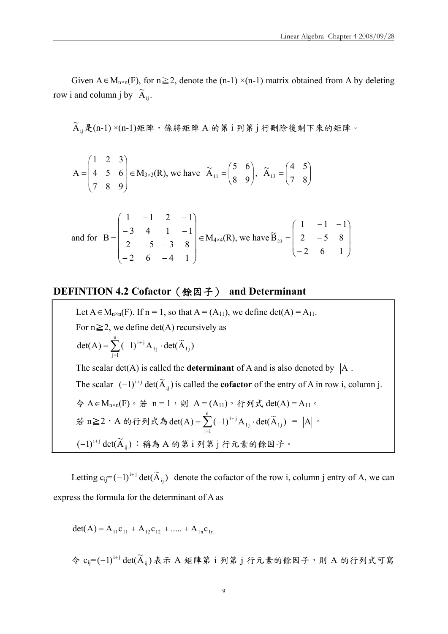Given A  $\in M_{n\times n}(F)$ , for  $n \ge 2$ , denote the (n-1) ×(n-1) matrix obtained from A by deleting row i and column j by  $\widetilde{A}_{ij}$ .

 $\widetilde{\mathrm{A}}_{_\textrm{ij}}$ 是(n-1) $\times$ (n-1)矩陣,係將矩陣 A 的第 i 列第 j 行刪除後剩下來的矩陣。

$$
A = \begin{pmatrix} 1 & 2 & 3 \\ 4 & 5 & 6 \\ 7 & 8 & 9 \end{pmatrix} \in M_{3 \times 3}(R), \text{ we have } \widetilde{A}_{11} = \begin{pmatrix} 5 & 6 \\ 8 & 9 \end{pmatrix}, \widetilde{A}_{13} = \begin{pmatrix} 4 & 5 \\ 7 & 8 \end{pmatrix}
$$

and for 
$$
B = \begin{pmatrix} 1 & -1 & 2 & -1 \\ -3 & 4 & 1 & -1 \\ 2 & -5 & -3 & 8 \\ -2 & 6 & -4 & 1 \end{pmatrix} \in M_{4 \times 4}(R)
$$
, we have  $\widetilde{B}_{23} = \begin{pmatrix} 1 & -1 & -1 \\ 2 & -5 & 8 \\ -2 & 6 & 1 \end{pmatrix}$ 

#### **DEFINTION 4.2 Cofactor**(餘因子) **and Determinant**

Let  $A \in M_{n \times n}(F)$ . If  $n = 1$ , so that  $A = (A_{11})$ , we define det $(A) = A_{11}$ . For  $n \ge 2$ , we define det(A) recursively as  $\det(A) = \sum_{i=1}^{n} (-1)^{1+j} A_{1j} \cdot \det(\widetilde{A}_{1j})$  $j=1$ 1j  $=\sum_{j=1}^{-1} (-1)^{1+j} A_{1j}$ . The scalar det(A) is called the **determinant** of A and is also denoted by  $|A|$ . The scalar  $(-1)^{i+j} \det(\tilde{A}_{ij})$  is called the **cofactor** of the entry of A in row i, column j. 令 A∈M<sub>n×n</sub>(F)。若 n = 1,則 A = (A<sub>11</sub>), 行列式 det(A) = A<sub>11</sub>。 若 n≧2,A 的行列式為 det(A) =  $\sum_{i=1}^{n} (-1)^{1+j} A_{1j} \cdot det(\widetilde{A}_{1j})$  $j=1$ 1j  $=\sum_{j=1} (-1)^{1+j} A_{1j} \cdot det(\widetilde{A}_{1j}) = |A|$  .  $(-1)^{i+j}$   $\det (\widetilde{\text{A}}_{ij})$  :稱為 A 的第 i 列第 j 行元素的餘因子。

Letting  $c_{ij} = (-1)^{i+j} \det(\tilde{A}_{ij})$  denote the cofactor of the row i, column j entry of A, we can express the formula for the determinant of A as

$$
det(A) = A_{11}c_{11} + A_{12}c_{12} + \dots + A_{1n}c_{1n}
$$

 $\hat{\phi}$   $c_{ij}$ = $(-1)^{i+j}$  det $(\widetilde{A}_{ij})$ 表示 A 矩陣第 i 列第 j 行元素的餘因子,則 A 的行列式可寫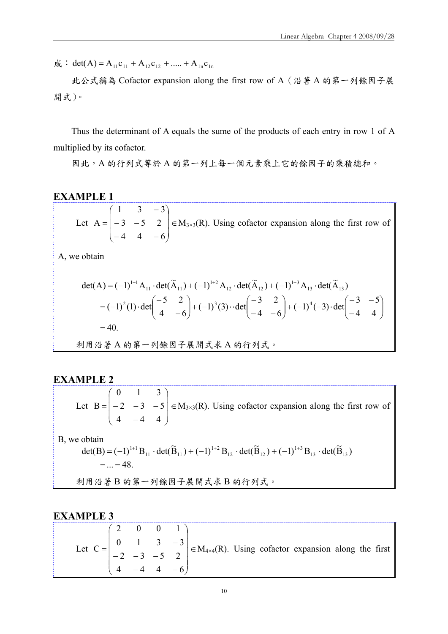$\vec{m}$  : det(A) = A<sub>11</sub> c<sub>11</sub> + A<sub>12</sub> c<sub>12</sub> + ..... + A<sub>1n</sub> c<sub>1n</sub>

此公式稱為 Cofactor expansion along the first row of A(沿著 A 的第一列餘因子展 開式)。

Thus the determinant of A equals the sume of the products of each entry in row 1 of A multiplied by its cofactor.

因此,A 的行列式等於A 的第一列上每一個元素乘上它的餘因子的乘積總和。

#### **EXAMPLE 1**

Let  $\sqrt{2}$  $\overline{\phantom{a}}$  $\overline{\phantom{a}}$ ⎠ ⎞  $\overline{ }$  $\overline{a}$  $\mathsf I$ ⎝  $\big($  $-4$  4  $-3 -$ − =  $4 \t 4 \t -6$  $3 - 5 2$  $1 \t 3 \t -3$  $A = |-3 - 5 \quad 2| \in M_{3\times3}(R)$ . Using cofactor expansion along the first row of

A, we obtain

\n
$$
\text{det}(A) = (-1)^{1+1} A_{11} \cdot \text{det}(\widetilde{A}_{11}) + (-1)^{1+2} A_{12} \cdot \text{det}(\widetilde{A}_{12}) + (-1)^{1+3} A_{13} \cdot \text{det}(\widetilde{A}_{13})
$$
\n

\n\n $= (-1)^2 (1) \cdot \text{det} \begin{pmatrix} -5 & 2 \\ 4 & -6 \end{pmatrix} + (-1)^3 (3) \cdot \text{det} \begin{pmatrix} -3 & 2 \\ -4 & -6 \end{pmatrix} + (-1)^4 (-3) \cdot \text{det} \begin{pmatrix} -3 & -5 \\ -4 & 4 \end{pmatrix}$ \n

\n\n $= 40.$ \n

\n\n $\text{H } \mathbb{H} \times \mathbb{H} \times \mathbb{H} \times \mathbb{H} \times \mathbb{H} \times \mathbb{H} \times \mathbb{H} \times \mathbb{H} \times \mathbb{H} \times \mathbb{H} \times \mathbb{H} \times \mathbb{H}$ \n

#### **EXAMPLE 2**

Let  $\overline{\phantom{a}}$  $\overline{\phantom{a}}$  $\overline{\phantom{a}}$ ⎠ ⎞  $\overline{ }$  $\mathsf I$  $\mathsf I$ ⎝  $\big($ −  $= | -2 -3 4 - 4 4$ 2  $-3$   $-5$ 0 1 3  $B = |-2 - 3 - 5| \in M_{3\times3}(R)$ . Using cofactor expansion along the first row of

B, we obtain

$$
\det(\mathbf{B}) = (-1)^{1+1} \mathbf{B}_{11} \cdot \det(\widetilde{\mathbf{B}}_{11}) + (-1)^{1+2} \mathbf{B}_{12} \cdot \det(\widetilde{\mathbf{B}}_{12}) + (-1)^{1+3} \mathbf{B}_{13} \cdot \det(\widetilde{\mathbf{B}}_{13})
$$
  
= ... = 48.

利用沿著 B 的第一列餘因子展開式求 B 的行列式。

#### **EXAMPLE 3**

| Let $C = \begin{pmatrix} 2 & 0 & 0 & 1 \\ 0 & 1 & 3 & -3 \\ -2 & -3 & -5 & 2 \\ 0 & 0 & 0 & 1 \end{pmatrix} \in M_{4 \times 4}(R)$ . Using cofactor expansion along the $\epsilon$ |  |  |  |
|------------------------------------------------------------------------------------------------------------------------------------------------------------------------------------|--|--|--|
|                                                                                                                                                                                    |  |  |  |
|                                                                                                                                                                                    |  |  |  |
|                                                                                                                                                                                    |  |  |  |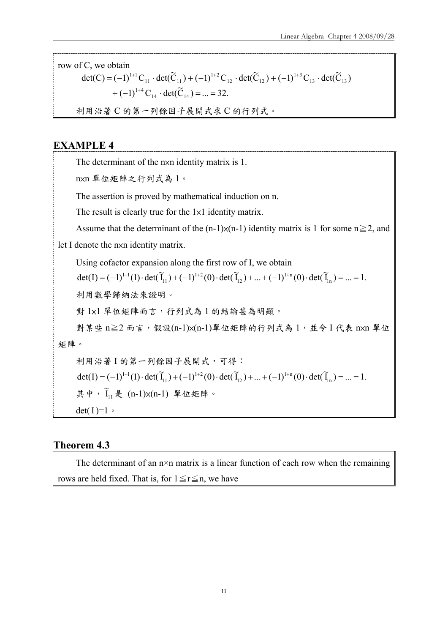row of C, we obtain

$$
det(C) = (-1)^{1+1}C_{11} \cdot det(\widetilde{C}_{11}) + (-1)^{1+2}C_{12} \cdot det(\widetilde{C}_{12}) + (-1)^{1+3}C_{13} \cdot det(\widetilde{C}_{13})
$$
  
+  $(-1)^{1+4}C_{14} \cdot det(\widetilde{C}_{14}) = ... = 32.$ 

利用沿著 C 的第一列餘因子展開式求 C 的行列式。

#### **EXAMPLE 4**

The determinant of the nxn identity matrix is 1.

n×n 單位矩陣之行列式為 1。

The assertion is proved by mathematical induction on n.

The result is clearly true for the  $1\times1$  identity matrix.

Assume that the determinant of the  $(n-1)x(n-1)$  identity matrix is 1 for some  $n \ge 2$ , and

let I denote the nxn identity matrix.

Using cofactor expansion along the first row of I, we obtain

 $\det(I) = (-1)^{1+1}(1) \cdot \det(\widetilde{I}_{11}) + (-1)^{1+2}(0) \cdot \det(\widetilde{I}_{12}) + ... + (-1)^{1+n}(0) \cdot \det(\widetilde{I}_{1n}) = ... = 1.$ 12  $1 + 2$  $= (-1)^{1+1}(1) \cdot \det(\widetilde{I}_{11}) + (-1)^{1+2}(0) \cdot \det(\widetilde{I}_{12}) + ... + (-1)^{1+n}(0) \cdot \det(\widetilde{I}_{1n}) = ... =$ 

利用數學歸納法來證明。

對 1x1 單位矩陣而言,行列式為 1 的結論甚為明顯。

對某些 n≧2 而言,假設(n-1)x(n-1)單位矩陣的行列式為 1,並令 I 代表 nxn 單位 矩陣。

利用沿著 I 的第一列餘因子展開式,可得:  $\det(I) = (-1)^{1+1}(1) \cdot \det(\widetilde{I}_{11}) + (-1)^{1+2}(0) \cdot \det(\widetilde{I}_{12}) + ... + (-1)^{1+n}(0) \cdot \det(\widetilde{I}_{1n}) = ... = 1.$ 12  $1 + 2$  $= (-1)^{1+1}(1) \cdot \det(\widetilde{I}_{11}) + (-1)^{1+2}(0) \cdot \det(\widetilde{I}_{12}) + ... + (-1)^{1+n}(0) \cdot \det(\widetilde{I}_{1n}) = ... =$ 其中, $\widetilde{I}_{11}$ 是 (n-1)x(n-1) 單位矩陣。 det( $I$ )= $1 \circ$ 

#### **Theorem 4.3**

The determinant of an  $n \times n$  matrix is a linear function of each row when the remaining rows are held fixed. That is, for  $1 \le r \le n$ , we have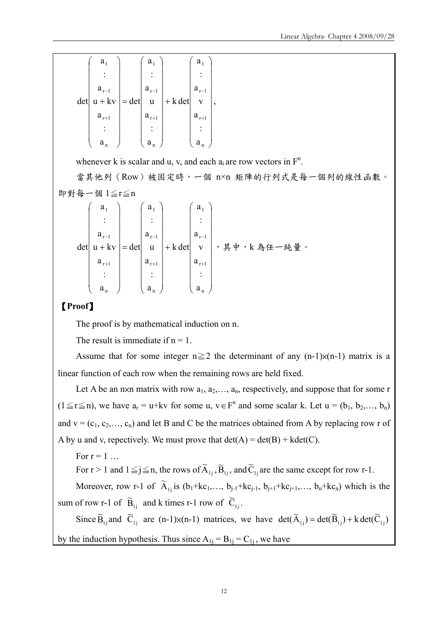|     | $a_1$     |                     | $a_1$     |           | $a_1$                  |  |
|-----|-----------|---------------------|-----------|-----------|------------------------|--|
|     |           |                     |           |           |                        |  |
|     | $a_{r-1}$ |                     | $a_{r-1}$ |           | $\mathbf{a}_{\rm r-l}$ |  |
| det | $u + kv$  | $\vert = det \vert$ | u         | $+ k det$ | V                      |  |
|     | $a_{r+1}$ |                     | $a_{r+1}$ |           | $a_{r+1}$              |  |
|     |           |                     |           |           |                        |  |
|     | $a_n$     |                     | $a_n$     |           | $a_{n}$                |  |

whenever k is scalar and u, v, and each  $a_i$  are row vectors in  $F^n$ .

當其他列(Row)被固定時,一個 n×n 矩陣的行列式是每一個列的線性函數。 即對每一個 1≦r≦n

$$
\det\begin{pmatrix} a_1 \\ \vdots \\ a_{r-1} \\ \vdots \\ a_{r+1} \\ \vdots \\ a_n \end{pmatrix} = \det\begin{pmatrix} a_1 \\ \vdots \\ a_{r-1} \\ \vdots \\ a_{r+1} \\ \vdots \\ a_n \end{pmatrix} + k \det\begin{pmatrix} a_1 \\ \vdots \\ a_{r-1} \\ \vdots \\ a_{r+1} \\ \vdots \\ a_n \end{pmatrix}, \quad \n\ddagger \neq r, \quad k \land \text{A} \neq -\text{A} \neq \text{B} \quad \text{and} \quad \text{and} \quad \text{and} \quad \text{and} \quad \text{and} \quad \text{and} \quad \text{and} \quad \text{and} \quad \text{and} \quad \text{and} \quad \text{and} \quad \text{and} \quad \text{and} \quad \text{and} \quad \text{and} \quad \text{and} \quad \text{and} \quad \text{and} \quad \text{and} \quad \text{and} \quad \text{and} \quad \text{and} \quad \text{and} \quad \text{and} \quad \text{and} \quad \text{and} \quad \text{and} \quad \text{and} \quad \text{and} \quad \text{and} \quad \text{and} \quad \text{and} \quad \text{and} \quad \text{and} \quad \text{and} \quad \text{and} \quad \text{and} \quad \text{and} \quad \text{and} \quad \text{and} \quad \text{and} \quad \text{and} \quad \text{and} \quad \text{and} \quad \text{and} \quad \text{and} \quad \text{and} \quad \text{and} \quad \text{and} \quad \text{and} \quad \text{and} \quad \text{and} \quad \text{and} \quad \text{and} \quad \text{and} \quad \text{and} \quad \text{and} \quad \text{and} \quad \text{and} \quad \text{and} \quad \text{and} \quad \text{and} \quad \text{and} \quad \text{and} \quad \text{and} \quad \text{and} \quad \text{and} \quad \text{and} \quad \text{and} \quad \text{and} \quad \text{and} \quad \text{and} \quad \text{and} \quad \text{and} \quad \text{and} \quad \text{and} \quad \text{and} \quad \text{and} \quad \text{and} \quad \text{and} \quad \text{and} \quad \text{and} \quad \text{and
$$

#### 【**Proof**】

The proof is by mathematical induction on n.

The result is immediate if  $n = 1$ .

Assume that for some integer  $n \ge 2$  the determinant of any  $(n-1)x(n-1)$  matrix is a linear function of each row when the remaining rows are held fixed.

Let A be an nxn matrix with row  $a_1, a_2, \ldots, a_n$ , respectively, and suppose that for some r  $(1 \le r \le n)$ , we have  $a_r = u+kv$  for some u,  $v \in F^n$  and some scalar k. Let  $u = (b_1, b_2, ..., b_n)$ and  $v = (c_1, c_2, \ldots, c_n)$  and let B and C be the matrices obtained from A by replacing row r of A by u and v, repectively. We must prove that  $det(A) = det(B) + kdet(C)$ .

For  $r = 1$  ...

For  $r > 1$  and  $1 \le j \le n$ , the rows of  $\widetilde{A}_{1j}$ ,  $\widetilde{B}_{1j}$ , and  $\widetilde{C}_{1j}$  are the same except for row r-1.

Moreover, row r-1 of  $\widetilde{A}_{1j}$  is  $(b_1+kc_1,..., b_{j-1}+kc_{j-1}, b_{j+1}+kc_{j+1},..., b_n+kc_n)$  which is the sum of row r-1 of  $\tilde{B}_{1j}$  and k times r-1 row of  $\tilde{C}_{1j}$ .

Since  $\widetilde{B}_{1j}$  and  $\widetilde{C}_{1j}$  are (n-1) $\times$ (n-1) matrices, we have  $\det(\widetilde{A}_{1j}) = \det(\widetilde{B}_{1j}) + k \det(\widetilde{C}_{1j})$ by the induction hypothesis. Thus since  $A_{1i} = B_{1i} = C_{1i}$ , we have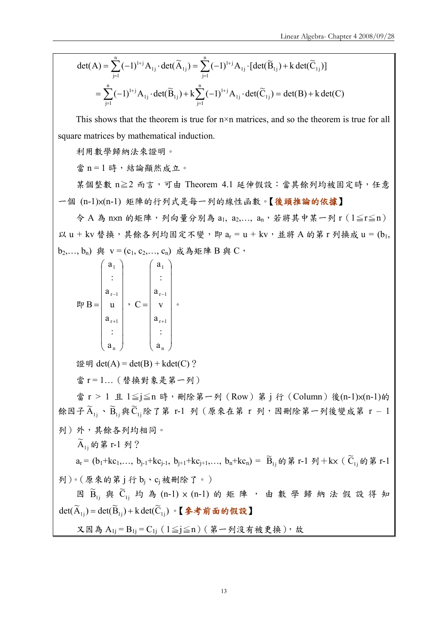$$
\begin{aligned} \det(\mathbf{A}) &= \sum_{j=1}^{n} (-1)^{1+j} \mathbf{A}_{1j} \cdot \det(\widetilde{\mathbf{A}}_{1j}) = \sum_{j=1}^{n} (-1)^{1+j} \mathbf{A}_{1j} \cdot [\det(\widetilde{\mathbf{B}}_{1j}) + k \det(\widetilde{\mathbf{C}}_{1j})] \\ &= \sum_{j=1}^{n} (-1)^{1+j} \mathbf{A}_{1j} \cdot \det(\widetilde{\mathbf{B}}_{1j}) + k \sum_{j=1}^{n} (-1)^{1+j} \mathbf{A}_{1j} \cdot \det(\widetilde{\mathbf{C}}_{1j}) = \det(\mathbf{B}) + k \det(\mathbf{C}) \end{aligned}
$$

This shows that the theorem is true for  $n \times n$  matrices, and so the theorem is true for all square matrices by mathematical induction.

利用數學歸納法來證明。

當 n = 1 時,結論顯然成立。

某個整數 n≧2 而言,可由 Theorem 4.1 延伸假設:當其餘列均被固定時,任意 一個 (n-1)×(n-1) 矩陣的行列式是每一列的線性函數。【後頭推論的依據】

 $\hat{\varphi}$  A 為 nxn 的矩陣,列向量分別為 a<sub>1,</sub> a<sub>2</sub>,..., a<sub>n</sub>, 若將其中某一列 r ( $1 \leq r \leq n$ ) 以 u + kv 替换, 其餘各列均固定不變, 即  $a_r = u + kv$ , 並將 A 的第 r 列換成  $u = (b_1, b_2, \ldots, b_n)$  $(b_2,..., b_n)$  與  $v = (c_1, c_2,..., c_n)$  成為矩陣  $B$  與  $C$ ,

$$
\mathbb{R}P B = \begin{pmatrix} a_1 \\ \vdots \\ a_{r-1} \\ \vdots \\ a_{r+1} \\ \vdots \\ a_n \end{pmatrix}, \quad C = \begin{pmatrix} a_1 \\ \vdots \\ a_{r-1} \\ \vdots \\ a_{r+1} \\ \vdots \\ a_n \end{pmatrix},
$$

證明  $det(A) = det(B) + kdet(C)$ ?

當 r = 1 ... (替換對象是第一列)

當 r > 1 且 1≦j≦n 時, 刪除第一列 (Row) 第 j 行 (Column) 後(n-1)×(n-1)的 餘因子 $\widetilde{A}_{1j}$ 、 $\widetilde{B}_{1j}$ 與 $\widetilde{C}_{1j}$ 除了第 r-1 列 (原來在第 r 列,因刪除第一列後變成第 r - 1 列)外,其餘各列均相同。  $\widetilde{A}_{1j}$ 的第 r-1 列?  $a_r = (b_1 + kc_1, ..., b_{j-1} + kc_{j-1}, b_{j+1} + kc_{j+1}, ..., b_n + kc_n) = \tilde{B}_{1j}$ 的第 r-1 列 + kx (  $\tilde{C}_{1j}$  的第 r-1 列)。(原來的第j行bi、cj被刪除了。) 因  $\widetilde{B}_{1j}$  與  $\widetilde{C}_{1j}$  均 為 (n-1)  $\times$  (n-1) 的 矩 陣 , 由 數 學 歸 納 法 假 設 得 知  $det(\widetilde{A}_{1i}) = det(\widetilde{B}_{1i}) + k det(\widetilde{C}_{1i}) \cdot \mathbf{[} \triangleq \hat{\mathcal{F}} \hat{\mathcal{F}} \hat{\mathcal{F}} \hat{\mathcal{F}} \hat{\mathcal{F}} \hat{\mathcal{F}}$ 又因為  $A_{1j} = B_{1j} = C_{1j}$  (1≦j≦n)(第一列沒有被更換),故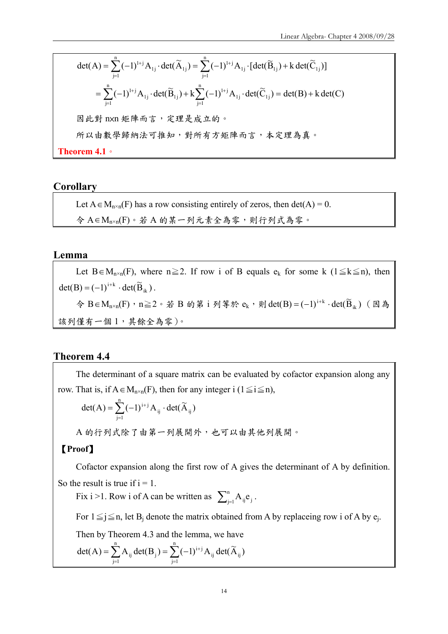\n
$$
\text{det}(A) = \sum_{j=1}^{n} (-1)^{1+j} A_{1j} \cdot \text{det}(\widetilde{A}_{1j}) = \sum_{j=1}^{n} (-1)^{1+j} A_{1j} \cdot \left[ \text{det}(\widetilde{B}_{1j}) + \text{k} \cdot \text{det}(\widetilde{C}_{1j}) \right]
$$
\n

\n\n $= \sum_{j=1}^{n} (-1)^{1+j} A_{1j} \cdot \text{det}(\widetilde{B}_{1j}) + \text{k} \sum_{j=1}^{n} (-1)^{1+j} A_{1j} \cdot \text{det}(\widetilde{C}_{1j}) = \text{det}(B) + \text{k} \cdot \text{det}(C)$ \n

\n\n $\text{But } \text{th } n \times n \iff \text{the } n \text{ is } n \times n \iff \text{the } n \text{ is } n \times n \iff \text{the } n \text{ is } n \times n \iff \text{the } n \text{ is } n \times n \iff \text{the } n \text{ is } n \times n \iff \text{the } n \text{ is } n \times n \iff \text{the } n \text{ is } n \times n \iff \text{the } n \text{ is } n \times n \iff \text{the } n \text{ is } n \times n \iff \text{the } n \text{ is } n \times n \iff \text{the } n \text{ is } n \times n \iff \text{the } n \text{ is } n \times n \iff \text{the } n \text{ is } n \times n \iff \text{the } n \text{ is } n \times n \iff \text{the } n \text{ is } n \times n \iff \text{the } n \text{ is } n \times n \iff \text{the } n \text{ is } n \times n \iff \text{the } n \text{ is } n \times n \iff \text{the } n \text{ is } n \times n \iff \text{the } n \text{ is } n \times n \iff \text{the } n \text{ is } n \times n \iff \text{the } n \text{ is } n \times n \iff \text{the } n \text{ is } n \times n \iff \text{the } n \text{ is } n \times n \iff \text{the } n \text{ is } n \times n \iff \text{the } n \text{ is } n \times n \iff \text{the } n \text{ is } n \times n \iff \text{the } n \text{ is } n \times n \iff \text{the } n \text{ is } n \times n \iff \text{the }$ 

#### **Corollary**

Let  $A \in M_{n \times n}(F)$  has a row consisting entirely of zeros, then det(A) = 0. 令 A∈M<sub>n×n</sub>(F)。若 A 的某一列元素全為零,則行列式為零。

#### **Lemma**

Let B∈M<sub>n×n</sub>(F), where n≥2. If row i of B equals  $e_k$  for some k (1≤k≤n), then  $\det(B) = (-1)^{i+k} \cdot \det(\widetilde{B}_{ik}).$ 令 B∈M<sub>n×n</sub>(F), n≧2。若 B 的第 i 列等於 ek, 則 det(B) =  $(-1)^{i+k} \cdot det(\widetilde{B}_{ik})$  (因為 該列僅有一個 1,其餘全為零)。

#### **Theorem 4.4**

The determinant of a square matrix can be evaluated by cofactor expansion along any row. That is, if  $A \in M_{n \times n}(F)$ , then for any integer i (1≤i≤n),

$$
det(A) = \sum_{j=1}^{n} (-1)^{i+j} A_{ij} \cdot det(\widetilde{A}_{ij})
$$

A 的行列式除了由第一列展開外,也可以由其他列展開。

#### 【**Proof**】

Cofactor expansion along the first row of A gives the determinant of A by definition. So the result is true if  $i = 1$ .

Fix i >1. Row i of A can be written as  $\sum_{j=1}^{n} A_{ij} e_j$ .

For  $1 \le j \le n$ , let B<sub>j</sub> denote the matrix obtained from A by replaceing row i of A by e<sub>j</sub>.

Then by Theorem 4.3 and the lemma, we have

$$
det(A) = \sum_{j=1}^{n} A_{ij} det(B_j) = \sum_{j=1}^{n} (-1)^{i+j} A_{ij} det(\widetilde{A}_{ij})
$$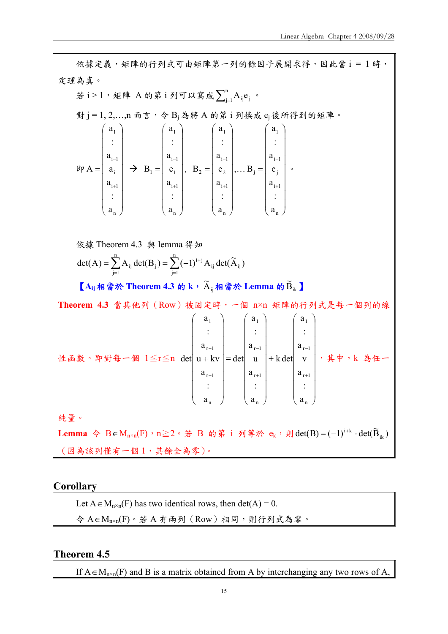依據定義,矩陣的行列式可由矩陣第一列的餘因子展開求得,因此當 i = 1 時, 定理為真。 若 i > 1,矩陣 A的第 i 列可以寫成 $\sum_{\mathfrak{j}=1}^\mathfrak{n} \mathrm{A}_{\mathfrak{ij}}\mathfrak{e}_{\mathfrak{j}}$ 。 對 j = 1, 2, ..., n 而言, 令 B<sub>j</sub> 為將 A 的第 i 列換成 e<sub>j</sub> 後所得到的矩陣。 即  $\overline{\phantom{a}}$  $\overline{\phantom{a}}$  $\overline{\phantom{a}}$  $\overline{\phantom{a}}$  $\overline{\phantom{a}}$  $\overline{\phantom{a}}$  $\overline{\phantom{a}}$  $\overline{\phantom{a}}$  $\overline{\phantom{a}}$ ⎠ ⎞  $\overline{a}$  $\overline{a}$  $\overline{a}$  $\overline{a}$  $\overline{a}$  $\overline{a}$  $\overline{a}$  $\overline{a}$  $\mathsf I$ ⎝  $\big($ = + − n  $i+1$ i  $i-1$ 1 a : a a a : a  $A = \begin{pmatrix} a_i \end{pmatrix} \rightarrow$  $\overline{\phantom{a}}$ ⎟ ⎟ ⎟ ⎟ ⎟ ⎟ ⎟ ⎟ ⎠ ⎞  $\overline{\phantom{a}}$  $\mathsf I$  $\mathsf I$  $\mathsf I$  $\mathsf I$  $\mathsf I$  $\mathsf I$  $\mathsf I$  $\mathsf I$ ⎝  $\big($ = + − n  $i+1$ 1  $i-1$ 1 1 a : a e a : a  $B_1 = |e_1|,$  $\overline{\phantom{a}}$  $\overline{\phantom{a}}$  $\overline{\phantom{a}}$  $\overline{\phantom{a}}$  $\overline{\phantom{a}}$  $\overline{\phantom{a}}$  $\overline{\phantom{a}}$  $\overline{\phantom{a}}$  $\overline{\phantom{a}}$ ⎠  $\setminus$  $\overline{a}$  $\overline{a}$  $\overline{a}$  $\overline{a}$  $\overline{a}$  $\overline{a}$  $\overline{a}$  $\overline{a}$  $\mathsf I$ ⎝  $\big($ = + − n  $i+1$ 2  $i-1$ 1 2 a : a e a : a  $B_2 = |e_2|, ...$ ⎟ ⎟ ⎟ ⎟ ⎟ ⎟ ⎟ ⎟ ⎟ ⎠ ⎞  $\overline{\phantom{a}}$  $\overline{\phantom{a}}$  $\overline{\phantom{a}}$  $\overline{\phantom{a}}$  $\overline{\phantom{a}}$  $\overline{\phantom{a}}$  $\overline{\phantom{a}}$  $\mathsf I$  $\overline{\phantom{a}}$ ⎝  $\sqrt{2}$ = + − n  $i+1$ j  $i-1$ 1 j a : a e a : a  $B_i = \begin{array}{c|c} e_i & e_i \end{array}$ 依據 Theorem 4.3 與 lemma 得知  $\sum_{j=1} A_{ij} \det(B_j) = \sum_{j=1} (-1)^{i+1}$ =  $=\sum A_{ii} det(B_i) = \sum ($ n  $j=1$  $_{ij}$  ucu $\mathbf{r}_{ij}$  $\sum_{i=1}^{n}$  A dot(**D**) =  $\sum_{i=1}^{n}$  (1)<sup>i+j</sup>  $j=1$  $det(A) = \sum_{i=1}^{n} A_{ij} det(B_j) = \sum_{i=1}^{n} (-1)^{i+j} A_{ij} det(\widetilde{A}_{ij})$  $[A_{ij}$ 相當於 Theorem 4.3 的 k,  $\widetilde{A}_{ij}$ 相當於 Lemma 的 $\widetilde{B}_{ik}$ **Theorem 4.3** 當其他列(Row)被固定時,一個 n×n 矩陣的行列式是每一個列的線 性函數。即對每一個 1≦r≦n  $\overline{\phantom{a}}$ ⎟  $\overline{\phantom{a}}$  $\overline{\phantom{a}}$  $\overline{\phantom{a}}$  $\overline{\phantom{a}}$  $\overline{\phantom{a}}$  $\overline{\phantom{a}}$  $\overline{\phantom{a}}$ ⎠ ⎞  $\overline{\phantom{a}}$  $\mathsf I$  $\overline{a}$  $\overline{\phantom{a}}$  $\mathbb{I}$  $\overline{\phantom{a}}$  $\overline{\phantom{a}}$  $\overline{\phantom{a}}$  $\overline{a}$ ⎝  $\big($ +  $\overline{\phantom{a}}$ ⎟ ⎟ ⎟ ⎟ ⎟ ⎟ ⎟ ⎟ ⎠ ⎞  $\mathsf I$  $\mathsf I$  $\mathsf I$  $\mathsf I$  $\mathsf I$  $\mathsf I$  $\mathsf I$  $\mathsf I$  $\mathsf I$ ⎝  $\big($ =  $\overline{\phantom{a}}$  $\overline{\phantom{a}}$  $\overline{\phantom{a}}$  $\overline{\phantom{a}}$  $\overline{\phantom{a}}$  $\overline{\phantom{a}}$  $\overline{\phantom{a}}$  $\overline{\phantom{a}}$  $\overline{\phantom{a}}$ ⎠  $\setminus$  $\mathsf I$  $\mathsf I$  $\mathsf I$  $\mathsf I$  $\mathsf I$  $\mathsf I$  $\mathsf I$  $\mathsf I$  $\overline{a}$ ⎝  $\big($ + + − + − + − n  $r+1$  $r-1$ 1 n  $r + 1$  $r - 1$ 1 n  $r + 1$  $r - 1$ 1 a : a v a : a k det a : a u a : a det a : a  $u + kv$ a : a det| u + kv | = det| u | + k det| v | ,其中,k 為任一 純量。 Lemma 令 B∈M<sub>n×n</sub>(F), n≧2。若 B 的第 i 列等於 e<sub>k</sub>, 則 det(B) =  $(-1)^{i+k}$  · det( $\widetilde{B}_{ik}$ ) (因為該列僅有一個 1,其餘全為零)。

**Corollary** 

Let  $A \in M_{n \times n}(F)$  has two identical rows, then det(A) = 0. 令 A∈M<sub>n×n</sub>(F)。若 A 有兩列 (Row) 相同,則行列式為零。

#### **Theorem 4.5**

If  $A \in M_{n \times n}(F)$  and B is a matrix obtained from A by interchanging any two rows of A,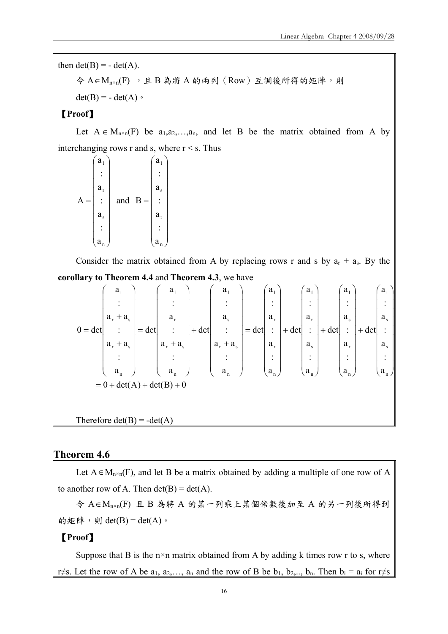then  $det(B) = -det(A)$ .  $\hat{\varphi}$  A  $\in$  M<sub>n×n</sub>(F), 且 B 為將 A 的兩列 (Row) 互調後所得的矩陣,則  $det(B) = - det(A)$ 【**Proof**】 Let  $A \in M_{n \times n}(F)$  be  $a_1, a_2, \ldots, a_n$ , and let B be the matrix obtained from A by interchanging rows r and s, where  $r \leq s$ . Thus  $\overline{\phantom{a}}$  $\overline{\phantom{a}}$  $\overline{\phantom{a}}$  $\overline{\phantom{a}}$  $\overline{\phantom{a}}$  $\overline{\phantom{a}}$  $\overline{\phantom{a}}$  $\overline{\phantom{a}}$  $\overline{\phantom{a}}$ ⎠  $a_1$  $\overline{a}$  $\overline{a}$  $\overline{a}$  $\overline{a}$  $\overline{a}$  $\overline{a}$  $\overline{a}$  $\overline{a}$  $\int$  $\langle a_{\rm n}$ = s r : a : a :  $A =$  : | and  $\overline{\phantom{a}}$  $\overline{\phantom{a}}$  $\overline{\phantom{a}}$  $\overline{\phantom{a}}$  $\overline{\phantom{a}}$  $\overline{\phantom{a}}$  $\overline{\phantom{a}}$  $\overline{\phantom{a}}$ ⎟ ⎞ ⎠  $\mathsf I$  $\mathsf I$  $\mathsf I$  $\mathsf I$  $\mathsf I$  $\mathsf I$  $\mathsf I$  $\mathsf I$  $\int$ ⎝ = n r s 1 a : a : a : a B Consider the matrix obtained from A by replacing rows r and s by  $a_r + a_s$ . By the **corollary to Theorem 4.4** and **Theorem 4.3**, we have  $= 0 + \det(A) + \det(B) + 0$ a : a : a : a det a : a : a : a det a : a : a : a det a : a : a : a det a :  $a_r + a$ : a : a det a :  $a_r + a$ : a : a det a :  $a_r + a$ :  $a_r + a$ : a  $0 = det$ n s s 1 n r s 1 n s r 1 n r r 1 n  $r$  '  $a_s$ s 1 n  $r$  '  $a_s$ r 1 n  $r$  '  $a_s$  $r$  '  $a_s$ 1 ⎟ ⎟ ⎟ ⎟ ⎟ ⎟ ⎟ ⎟ ⎟ ⎞ ⎠  $\overline{\phantom{a}}$  $\mathsf I$  $\mathsf I$  $\mathsf I$ ⎜  $\mathsf I$  $\mathsf I$  $\mathsf I$  $\int$ ⎝ + ⎟ ⎟ ⎟ ⎟ ⎟ ⎟ ⎟ ⎟ ⎟ ⎞ ⎠  $\overline{\phantom{a}}$  $\mathsf I$  $\mathsf I$  $\mathsf I$ ⎜  $\mathsf I$  $\mathsf I$  $\mathsf I$  $\int$ ⎝ + ⎟ ⎟ ⎟ ⎟ ⎟ ⎟ ⎟ ⎟ ⎟ ⎞ ⎠  $\overline{\phantom{a}}$  $\mathsf I$  $\overline{\phantom{a}}$  $\mathsf I$  $\pm$  $\mathsf I$  $\mathsf I$  $\mathsf I$  $\int$ ⎝ +  $\overline{\phantom{a}}$ ⎟ ⎟ ⎟ ⎟ ⎟ ⎟ ⎟  $\begin{matrix} \end{matrix}$ ⎠  $\mathsf I$  $\mathsf I$  $\mathsf I$  $\mathsf I$  $\mathsf I$  $\mathsf I$  $\mathsf I$  $\mathsf I$  $\int$ ⎝ =  $\overline{\phantom{a}}$ ⎟ ⎟ ⎟ ⎟ ⎟ ⎟ ⎟ ⎟ ⎞ ⎠  $\overline{a}$  $\overline{a}$  $\overline{a}$  $\overline{a}$  $\overline{a}$  $\overline{a}$  $\overline{a}$  $\overline{a}$  $\int$ ⎝ + +  $\overline{\phantom{a}}$  $\overline{\phantom{a}}$  $\overline{\phantom{a}}$  $\overline{\phantom{a}}$  $\overline{\phantom{a}}$  $\overline{\phantom{a}}$  $\overline{\phantom{a}}$  $\overline{\phantom{a}}$  $\begin{matrix} \end{matrix}$ ⎠  $\mathsf I$  $\mathsf I$  $\mathsf I$  $\mathsf I$  $\mathsf I$  $\mathsf I$  $\mathsf I$  $\mathsf I$  $\int$ ⎝ + =  $\overline{\phantom{a}}$  $\overline{\phantom{a}}$  $\overline{\phantom{a}}$  $\overline{\phantom{a}}$  $\overline{\phantom{a}}$  $\overline{\phantom{a}}$  $\overline{\phantom{a}}$  $\overline{\phantom{a}}$  $\begin{matrix} \end{matrix}$ ⎠  $\overline{a}$  $\overline{a}$  $\overline{a}$  $\overline{a}$  $\overline{a}$  $\overline{a}$  $\overline{a}$  $\overline{a}$  $\int$ ⎝ + + = Therefore  $det(B) = -det(A)$ 

#### **Theorem 4.6**

Let  $A \in M_{n \times n}(F)$ , and let B be a matrix obtained by adding a multiple of one row of A to another row of A. Then  $det(B) = det(A)$ .

令 A∈Mn×n(F) 且 B 為將 A 的某一列乘上某個倍數後加至 A 的另一列後所得到 的矩陣,則 det(B) = det(A)。

#### 【**Proof**】

Suppose that B is the  $n \times n$  matrix obtained from A by adding k times row r to s, where r≠s. Let the row of A be  $a_1, a_2, \ldots, a_n$  and the row of B be  $b_1, b_2, \ldots, b_n$ . Then  $b_i = a_i$  for r≠s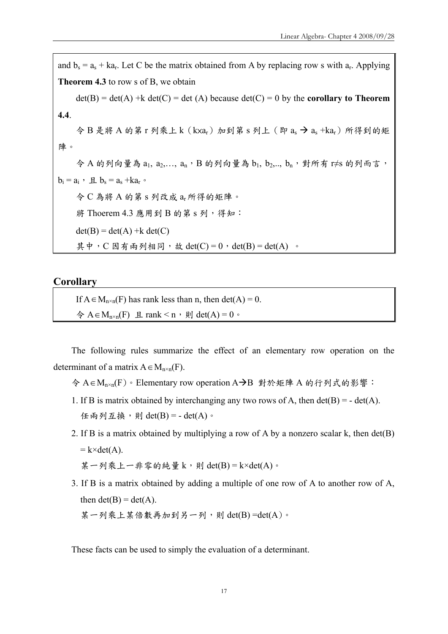and  $b_s = a_s + ka_r$ . Let C be the matrix obtained from A by replacing row s with  $a_r$ . Applying **Theorem 4.3** to row s of B, we obtain  $det(B) = det(A) + k det(C) = det(A)$  because  $det(C) = 0$  by the **corollary to Theorem 4.4**. 令 B 是將 A 的第 r 列乘上 k (kxar) 加到第 s 列上 (即 as → as +kar) 所得到的矩 陣。  $\diamondsuit$  A 的列向量為  $a_1, a_2,..., a_n$ , B 的列向量為  $b_1, b_2,..., b_n$ , 對所有 r≠s 的列而言,  $b_i = a_i$ ,  $\underline{a}$ ,  $b_s = a_s + ka_r$ . 令 C 為將 A 的第 s 列改成 ar所得的矩陣。 將 Thoerem 4.3 應用到 B 的第 s 列, 得知:  $det(B) = det(A) + k det(C)$ 其中,  $C \boxtimes \overline{A}$  兩列相同, 故 det $(C) = 0$ , det $(B) = det(A)$ .

#### **Corollary**

If  $A \in M_{n \times n}(F)$  has rank less than n, then det(A) = 0.  $\Leftrightarrow$  A ∈ M<sub>n×n</sub>(F) 且 rank < n, 則 det(A) = 0。

The following rules summarize the effect of an elementary row operation on the determinant of a matrix  $A \in M_{n \times n}(F)$ .

- 令 A∈M<sub>n×n</sub>(F)。Elementary row operation A→B 對於矩陣 A 的行列式的影響:
- 1. If B is matrix obtained by interchanging any two rows of A, then  $det(B) = -det(A)$ . 任兩列互換,則  $det(B) = - det(A)$ 。
- 2. If B is a matrix obtained by multiplying a row of A by a nonzero scalar k, then det(B)  $= k \times det(A)$ .

某一列乘上一非零的純量 k,則 det(B) = k×det(A)。

3. If B is a matrix obtained by adding a multiple of one row of A to another row of A, then  $det(B) = det(A)$ .

某一列乘上某倍數再加到另一列,則  $det(B) = det(A)$ 。

These facts can be used to simply the evaluation of a determinant.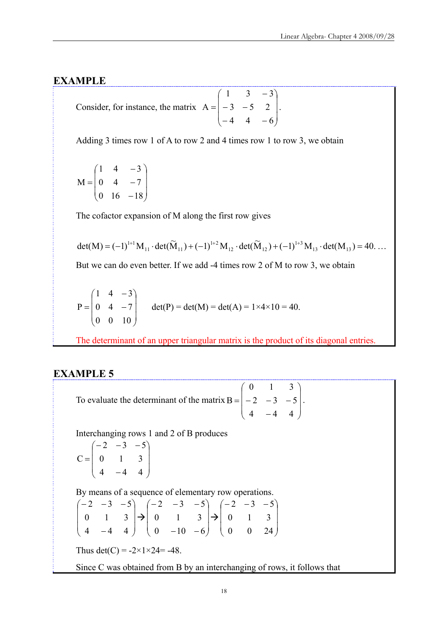#### **EXAMPLE**

Consider, for instance, the matrix 
$$
A = \begin{pmatrix} 1 & 3 & -3 \\ -3 & -5 & 2 \\ -4 & 4 & -6 \end{pmatrix}
$$
.

Adding 3 times row 1 of A to row 2 and 4 times row 1 to row 3, we obtain

$$
M = \begin{pmatrix} 1 & 4 & -3 \\ 0 & 4 & -7 \\ 0 & 16 & -18 \end{pmatrix}
$$

The cofactor expansion of M along the first row gives

$$
\text{det}(M) = (-1)^{1+1} M_{11} \cdot \text{det}(\widetilde{M}_{11}) + (-1)^{1+2} M_{12} \cdot \text{det}(\widetilde{M}_{12}) + (-1)^{1+3} M_{13} \cdot \text{det}(M_{13}) = 40 \dots
$$

But we can do even better. If we add -4 times row 2 of M to row 3, we obtain

$$
P = \begin{pmatrix} 1 & 4 & -3 \\ 0 & 4 & -7 \\ 0 & 0 & 10 \end{pmatrix} \quad \det(P) = \det(M) = \det(A) = 1 \times 4 \times 10 = 40.
$$

The determinant of an upper triangular matrix is the product of its diagonal entries.

#### **EXAMPLE 5**

To evaluate the determinant of the matrix  $\overline{\phantom{a}}$ ⎟ ⎟ ⎠ ⎞  $\overline{ }$  $\overline{a}$  $\mathsf I$ ⎝  $\big($ −  $= | -2 -3 4 - 4 4$ 2  $-3$   $-5$ 0 1 3  $B = |-2 -3 -5|$ .

Interchanging rows 1 and 2 of B produces

$$
C = \begin{pmatrix} -2 & -3 & -5 \\ 0 & 1 & 3 \\ 4 & -4 & 4 \end{pmatrix}
$$

By means of a sequence of elementary row operations.

$$
\begin{pmatrix} -2 & -3 & -5 \ 0 & 1 & 3 \ 4 & -4 & 4 \end{pmatrix} \rightarrow \begin{pmatrix} -2 & -3 & -5 \ 0 & 1 & 3 \ 0 & -10 & -6 \end{pmatrix} \rightarrow \begin{pmatrix} -2 & -3 & -5 \ 0 & 1 & 3 \ 0 & 0 & 24 \end{pmatrix}
$$
  
Thus det(C) = -2×1×24= -48.  
Since C was obtained from B by an interchanging of rows, it follows that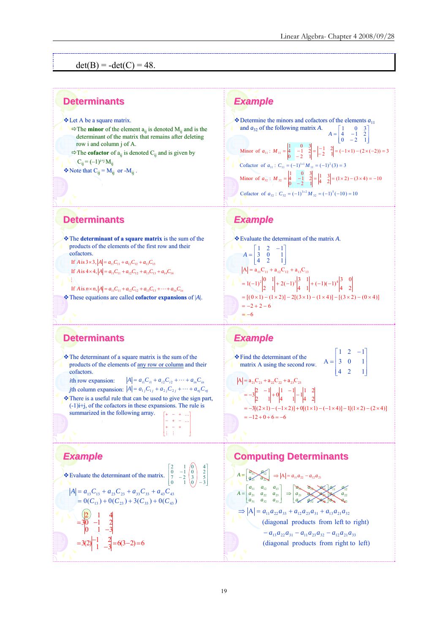$det(B) = -det(C) = 48.$ 

#### **Determinants Determinants**

**Example 2** Let A be a square matrix.

- $\Rightarrow$  The **minor** of the element  $a_{ii}$  is denoted  $M_{ii}$  and is the determinant of the matrix that remains after deleting row i and column j of A.
- $\Rightarrow$  The **cofactor** of  $a_{ii}$  is denoted C<sub>ij</sub> and is given by  $C_{ii} = (-1)^{i+j} M_{ii}$

 $\triangleleft$  Note that  $C_{ii} = M_{ii}$  or -M<sub>ij</sub>.

# *Example Example*

 $\begin{vmatrix} 1 & 3 \\ 4 & 2 \end{vmatrix}$  = (1 × 2) – (3 × 4) = –10 Minor of  $a_{32}$ :  $M_{32} = \begin{vmatrix} 1 & 0 & 3 \ 4 & -1 & 2 \ 0 & -2 & 1 \end{vmatrix} = \begin{vmatrix} 1 & 3 \ 4 & 2 \end{vmatrix} = (1 \times 2) - (3 \times 4) = \begin{vmatrix} 1 & 2 \\ 2 & 1 \end{vmatrix} = (-1 \times 1) - (2 \times (-2)) = 3$ Minor of  $a_{11}$ :  $M_{11} = \begin{vmatrix} 1 & 0 & 3 \\ 0 & -1 & 2 \\ 0 & -2 & 1 \end{vmatrix} = \begin{vmatrix} -1 & 2 \\ -2 & 1 \end{vmatrix} = (-1 \times 1) - (2 \times (-2)) =$  $\cdot$  Determine the minors and cofactors of the elements  $a_{11}$ and  $a_{32}$  of the following matrix A. ⎦ ⎢ ⎢ ⎣  $A = \begin{bmatrix} 1 & 0 & 3 \\ 4 & -1 & 2 \\ 0 & -2 & 1 \end{bmatrix}$ Cofactor of  $a_{11}$ :  $C_{11} = (-1)^{1+1} M_{11} = (-1)^2 (3) = 3$ Cofactor of  $a_{32}$ :  $C_{32} = (-1)^{3+2} M_{32} = (-1)^{5} (-10) = 10$ 

#### **Determinants Determinants**

**The determinant of a square matrix** is the sum of the products of the elements of the first row and their cofactors. If A is  $4 \times 4$ ,  $|A| = a_{11}C_{11} + a_{12}C_{12} + a_{13}C_{13} + a_{14}C_{14}$ If *A* is  $3 \times 3$ ,  $|A| = a_{11}C_{11} + a_{12}C_{12} + a_{13}C_{13}$ 

 $\cdot$  These equations are called **cofactor expansions** of |*A*|. If  $A$  is  $n \times n$ ,  $|A| = a_{11}C_{11} + a_{12}C_{12} + a_{13}C_{13} + \cdots + a_{1n}C_{1n}$ M

# **Determinants Determinants**

 $\cdot$  The determinant of a square matrix is the sum of the products of the elements of any row or column and their cofactors.

*i*th row expansion: *j*th column expansion:  $|A| = a_{1j}C_{1j} + a_{2j}C_{2j} + \cdots + a_{nj}C_{nj}$  $A = a_{i1}C_{i1} + a_{i2}C_{i2} + \cdots + a_{in}C_{in}$ 

 $\cdot$ There is a useful rule that can be used to give the sign part,  $(-1)$ i+j, of the cofactors in these expansions. The rule is summarized in the following array. ⎥ ⎤ ⎢ ⎡ + − + K

⎥ ⎥ ⎥

K

⎢ ⎢ ⎢ + − + − + −

M M

լ

⎦

 $\begin{bmatrix} -1 & 0 \\ -2 & 3 \\ 1 & 0 \end{bmatrix}$  $\begin{bmatrix} 2 & 1 & 0 \\ 0 & -1 & 0 \\ 7 & -2 & 3 \\ 0 & 1 & 0 \end{bmatrix}$   $\begin{bmatrix} 4 \\ 2 \\ 3 \\ 5 \\ -3 \end{bmatrix}$ 

⎥ ⎥ ⎥ ⎦

#### *Example Example*

 $\triangle$  Evaluate the determinant of the matrix.  $\begin{bmatrix} \vdots \\ \vdots \\ \vdots \end{bmatrix}$ ⎣ ⎡

$$
|A| = a_{13}C_{13} + a_{23}C_{23} + a_{33}C_{33} + a_{43}C_{43}
$$
  
= 0(C<sub>13</sub>) + 0(C<sub>23</sub>) + 3(C<sub>33</sub>) + 0(C<sub>43</sub>)  
(2) 1 4

$$
=30 -1 2
$$
  
\n0 1 -3  
\n
$$
=3(2)^{-1} 2 = 6(3-2) = 6
$$

# *Example Example*



#### *Example Example*

#### Find the determinant of the Find the determinant of the matrix A using the second row. ⎦ ⎢ ⎢ ⎢ լ  $\begin{bmatrix} 1 & 2 & - \end{bmatrix}$ = 4 2 1 3 0 1  $1 \t2 \t-1$ A  $= -12 + 0 + 6 = -6$  $= -3[(2 \times 1) - (-1 \times 2)] + 0[(1 \times 1) - (-1 \times 4)] - 1[(1 \times 2) - (2 \times 4)]$ 4 2  $\begin{vmatrix} 1 & -1 \\ 4 & 1 \end{vmatrix}$  - 1  $\begin{vmatrix} 1 & 2 \\ 4 & 2 \end{vmatrix}$  $\begin{vmatrix} 2 & -1 \\ 2 & 1 \end{vmatrix} + 0 \begin{vmatrix} 1 & -1 \\ 4 & 1 \end{vmatrix}$  $=-3\begin{vmatrix} 2 & -1 \\ 1 & -1 \end{vmatrix}$  + 0  $\begin{vmatrix} 1 & -1 \\ 1 & -1 \end{vmatrix}$  $A = a_{21}C_{21} + a_{22}C_{22} + a_{23}C_{23}$

# **Computing Determinants**

$$
A = \begin{bmatrix} a_{11} & a_{12} \\ a_{21} & a_{22} \\ a_{31} & a_{32} \\ a_{31} & a_{32} \\ a_{32} & a_{33} \end{bmatrix} \Rightarrow |A| = a_{11}a_{22} - a_{12}a_{21}
$$
  
\n
$$
A = \begin{bmatrix} a_{11} & a_{12} & a_{13} \\ a_{21} & a_{22} & a_{23} \\ a_{31} & a_{32} & a_{33} \end{bmatrix} \Rightarrow \begin{bmatrix} a_{11} & a_{12} & a_{13} \\ a_{21} & a_{22} & a_{23} \\ a_{31} & a_{32} & a_{33} \end{bmatrix} \Rightarrow \begin{bmatrix} a_{11} & a_{12} & a_{13} \\ a_{21} & a_{22} & a_{23} \\ a_{31} & a_{32} & a_{33} \end{bmatrix} \Rightarrow A = a_{11}a_{22}a_{33} + a_{12}a_{21}a_{32}
$$
  
\n(diagonal products from left to right)  
\n
$$
= a_{13}a_{22}a_{31} - a_{11}a_{23}a_{32} - a_{12}a_{21}a_{33}
$$
  
\n(diagonal products from right to left)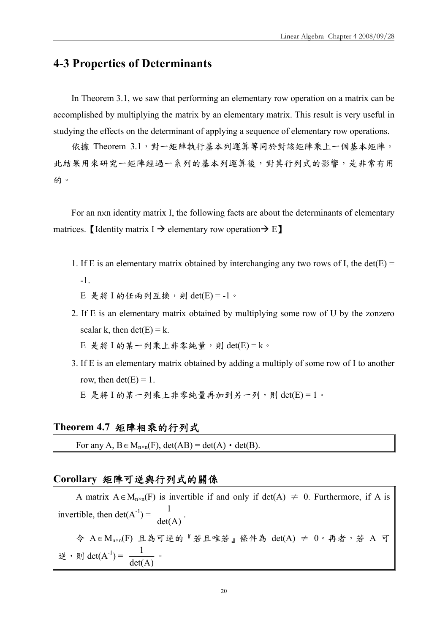# **4-3 Properties of Determinants**

In Theorem 3.1, we saw that performing an elementary row operation on a matrix can be accomplished by multiplying the matrix by an elementary matrix. This result is very useful in studying the effects on the determinant of applying a sequence of elementary row operations.

依據 Theorem 3.1,對一矩陣執行基本列運算等同於對該矩陣乘上一個基本矩陣。 此結果用來研究一矩陣經過一系列的基本列運算後,對其行列式的影響,是非常有用 的。

For an n×n identity matrix I, the following facts are about the determinants of elementary matrices. [Identity matrix I  $\rightarrow$  elementary row operation  $\rightarrow$  E]

- 1. If E is an elementary matrix obtained by interchanging any two rows of I, the det(E) = -1.
	- $E$  是將 I 的任兩列互換,則 det(E) = -1。
- 2. If E is an elementary matrix obtained by multiplying some row of U by the zonzero scalar k, then  $det(E) = k$ .  $E$  是將 I 的某一列乘上非零純量,則 det(E) = k。
- 3. If E is an elementary matrix obtained by adding a multiply of some row of I to another row, then  $det(E) = 1$ .  $E$  是將  $I$  的某一列乘上非零純量再加到另一列,則 det $(E) = 1$ 。

#### **Theorem 4.7** 矩陣相乘的行列式

For any A,  $B \in M_{n \times n}(F)$ ,  $det(AB) = det(A) \cdot det(B)$ .

#### **Corollary** 矩陣可逆與行列式的關係

A matrix  $A \in M_{n \times n}(F)$  is invertible if and only if det(A)  $\neq 0$ . Furthermore, if A is invertible, then det( $A^{-1}$ ) =  $\frac{1}{det(A)}$ . 令 A∈M<sub>n×n</sub>(F) 且為可逆的『若且唯若』條件為 det(A) ≠ 0。再者,若 A 可 逆, 則 det(A<sup>-1</sup>) =  $\frac{1}{\det(A)}$ .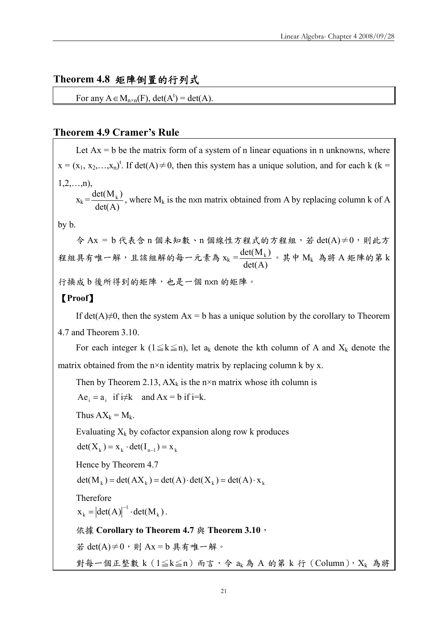#### **Theorem 4.8** 矩陣倒置的行列式

For any  $A \in M_{n \times n}(F)$ , det $(A^t) = det(A)$ .

#### **Theorem 4.9 Cramer's Rule**

Let  $Ax = b$  be the matrix form of a system of n linear equations in n unknowns, where  $x = (x_1, x_2,...,x_n)^t$ . If det $(A) \neq 0$ , then this system has a unique solution, and for each k (k =  $1, 2, \ldots, n$ ),

 $x_k = \frac{\det(M_k)}{\det(A)}$ , where  $M_k$  is the nxn matrix obtained from A by replacing column k of A

by b.

 $\hat{\phi}$  Ax = b 代表含 n 個未知數、n 個線性方程式的方程組,若 det(A)≠0,則此方 程組具有唯一解,且該組解的每一元素為 xk =  $\frac{\det(M_\mathrm{k})}{\det(A)}$ 。其中  $M_\mathrm{k}$  為將 A 矩陣的第 k 行換成 b 後所得到的矩陣,也是一個 nxn 的矩陣。

#### 【**Proof**】

If det(A) $\neq$ 0, then the system Ax = b has a unique solution by the corollary to Theorem 4.7 and Theorem 3.10.

For each integer k (1≤k≤n), let  $a_k$  denote the kth column of A and  $X_k$  denote the matrix obtained from the  $n \times n$  identity matrix by replacing column k by x.

Then by Theorem 2.13,  $AX_k$  is the n×n matrix whose ith column is

 $Ae_i = a_i$  if  $i \neq k$  and  $Ax = b$  if  $i=k$ .

Thus  $AX_k = M_k$ .

Evaluating  $X_k$  by cofactor expansion along row k produces

 $det(X_k) = x_k \cdot det(I_{n-1}) = x_k$ 

Hence by Theorem 4.7

 $det(M_k) = det(AX_k) = det(A) \cdot det(X_k) = det(A) \cdot x_k$ 

Therefore

 $x_k = |det(A)|^{-1} \cdot det(M_k).$ 

依據 Corollary to Theorem 4.7 與 Theorem 3.10,

若 det(A)≠0,則 Ax = b 具有唯一解。

對每一個正整數 k  $(1 \leq k \leq n)$  而言, 令 ak 為 A 的第 k 行  $(Column)$ ,  $X_k$  為將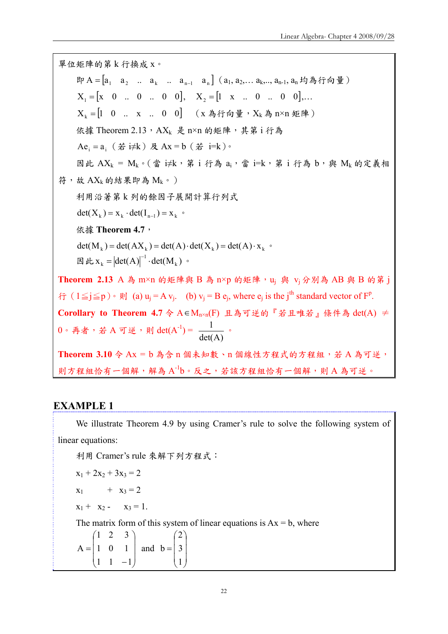單位矩陣的第 k 行換成 x。 即 A =  $[a_1 \ a_2 \ ... \ a_k \ ... \ a_{n-1} \ a_n]$   $(a_1, a_2,... a_k, a_{n-1}, a_n$  均為行向量  $X_1 = [x \ 0 \ ... \ 0 \ ... \ 0 \ 0], \quad X_2 = [1 \ x \ ... \ 0 \ ... \ 0 \ 0], \dots$  $X_k = [1 \ 0 \dots \ X \dots \ 0 \ 0]$  (x 為行向量,  $X_k$ 為 n×n 矩陣) 依據 Theorem  $2.13$ ,  $AX_k$  是 n×n 的矩陣, 其第 i 行為  $i$  Ae<sub>i</sub> = a<sub>i</sub> (若 i≠k) 及 Ax = b (若 i=k)。 因此  $AX_k = M_k \cdot (\nightharpoonup x \, \times \, \hat{x} \, \text{i} \, \hat{\pi} \, \hat{a}_i \, \times \, \hat{x} \, \text{i-k} \, \hat{x} \, \text{i} \, \hat{\pi} \, \hat{a}_i)$  b, 奥  $M_k$ 的定義相 符,故  $AX_k$ 的結果即為 $M_k$ 。) 利用沿著第 k 列的餘因子展開計算行列式  $det(X_k) = x_k \cdot det(I_{n-1}) = x_k$ 依據 **Theorem 4.7**,  $det(M_k) = det(AX_k) = det(A) \cdot det(X_k) = det(A) \cdot x_k$ 因此  $x_k = |det(A)|^{-1} \cdot det(M_k)$ 。 Theorem 2.13 A 為 m×n 的矩陣與 B 為 n×p 的矩陣, u<sub>j</sub> 與 v<sub>j</sub> 分別為 AB 與 B 的第 j 行 ( $1 \leq j \leq p$ ) ∘ 則 (a)  $u_j = A v_j$ . (b)  $v_j = B e_j$ , where  $e_j$  is the j<sup>th</sup> standard vector of  $F^p$ . Corollary to Theorem 4.7 令 A∈M<sub>n×n</sub>(F) 且為可逆的『若且唯若』條件為 det(A) ≠  $0 \cdot \bar{A}$  子,若 A 可逆,則 det(A<sup>-1</sup>)=  $\frac{1}{\det(A)}$ 。 Theorem 3.10 令 Ax = b 為含 n 個未知數、n 個線性方程式的方程組,若 A 為可逆, 則方程組恰有一個解,解為 A<sup>-1</sup>b。反之,若該方程組恰有一個解,則 A 為可逆。

#### **EXAMPLE 1**

We illustrate Theorem 4.9 by using Cramer's rule to solve the following system of linear equations:

利用 Cramer's rule 來解下列方程式:

$$
x_1 + 2x_2 + 3x_3 = 2
$$
  
\n
$$
x_1 + x_3 = 2
$$
  
\n
$$
x_1 + x_2 - x_3 = 1.
$$

The matrix form of this system of linear equations is  $Ax = b$ , where

$$
A = \begin{pmatrix} 1 & 2 & 3 \\ 1 & 0 & 1 \\ 1 & 1 & -1 \end{pmatrix} \text{ and } b = \begin{pmatrix} 2 \\ 3 \\ 1 \end{pmatrix}
$$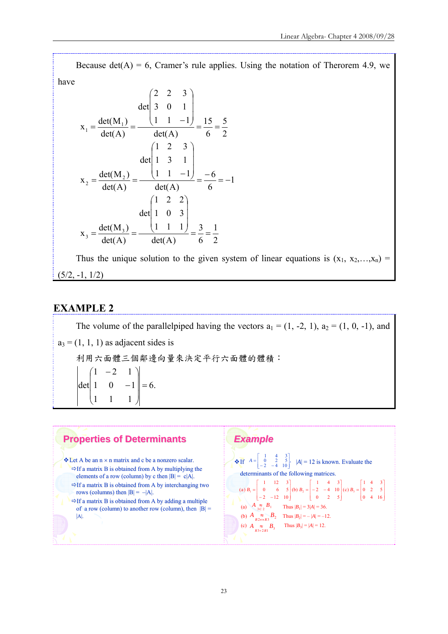Because det(A) = 6, Cramer's rule applies. Using the notation of Therorem 4.9, we

have

$$
x_1 = \frac{\det(M_1)}{\det(A)} = \frac{\det\begin{pmatrix} 2 & 2 & 3 \\ 3 & 0 & 1 \end{pmatrix}}{\det(A)} = \frac{1}{\det(A)} = \frac{15}{6} = \frac{5}{2}
$$
  

$$
x_2 = \frac{\det(M_2)}{\det(A)} = \frac{\det\begin{pmatrix} 1 & 2 & 3 \\ 1 & 3 & 1 \\ 1 & 1 & -1 \end{pmatrix}}{\det(A)} = \frac{-6}{6} = -1
$$
  

$$
x_3 = \frac{\det(M_3)}{\det(A)} = \frac{\det\begin{pmatrix} 1 & 2 & 2 \\ 1 & 0 & 3 \\ 1 & 1 & 1 \end{pmatrix}}{\det(A)} = \frac{3}{6} = \frac{1}{2}
$$

Thus the unique solution to the given system of linear equations is  $(x_1, x_2,...,x_n)$  $(5/2, -1, 1/2)$ 

#### **EXAMPLE 2**

The volume of the parallelpiped having the vectors  $a_1 = (1, -2, 1), a_2 = (1, 0, -1),$  and  $a_3 = (1, 1, 1)$  as adjacent sides is 利用六面體三個鄰邊向量來決定平行六面體的體積: det | 1 0  $-1$  | = 6. 1 1 1  $1 -2 1$  $\overline{\phantom{a}}$  $\overline{\phantom{a}}$ ⎠  $\left| \right|$  $\overline{ }$  $\mathsf I$  $\mathsf I$ ⎝  $\overline{1}$ −

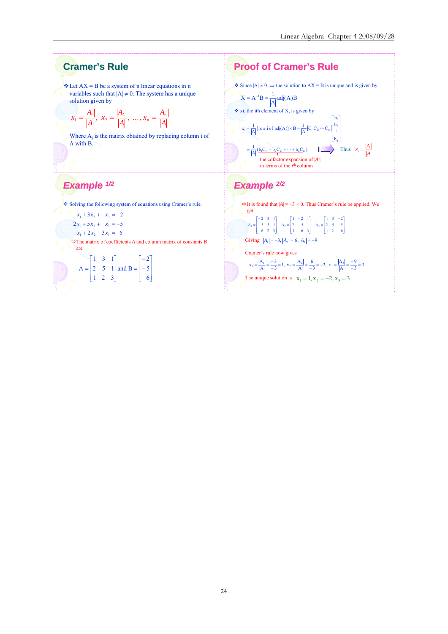